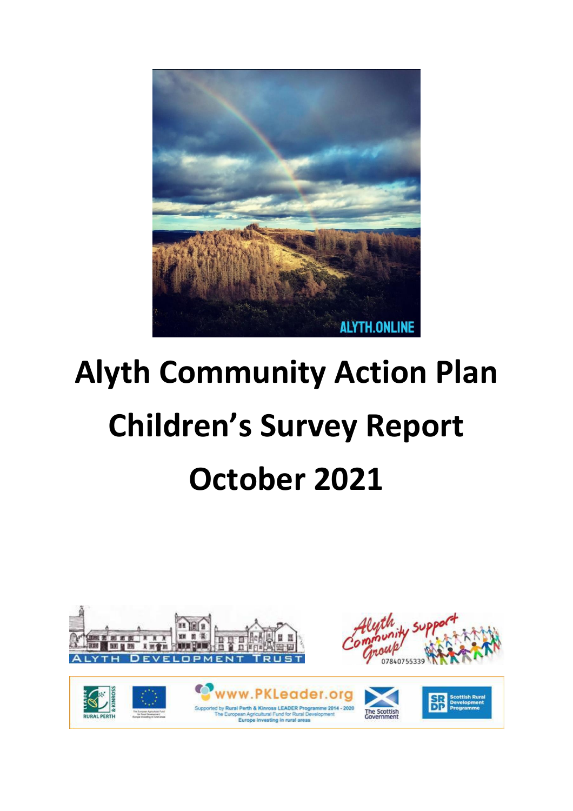

# **Alyth Community Action Plan Children's Survey Report October 2021**

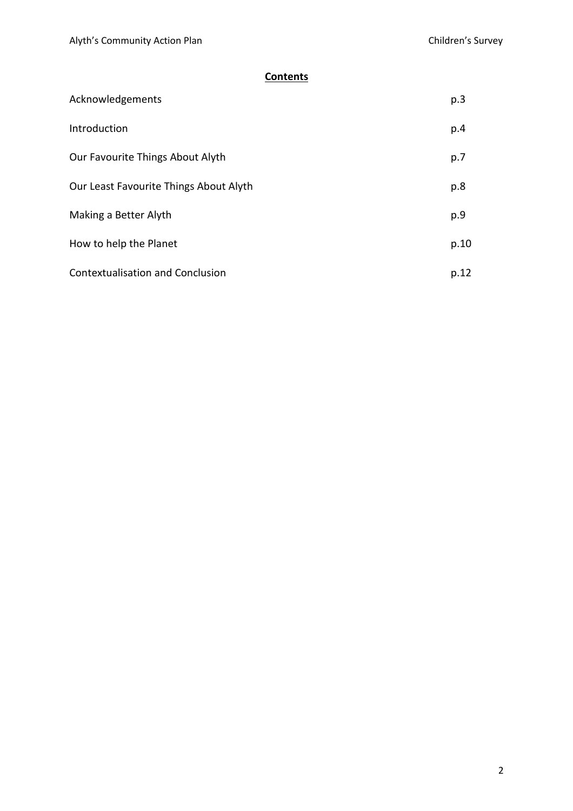# **Contents**

| Acknowledgements                        | p.3  |
|-----------------------------------------|------|
| Introduction                            | p.4  |
| Our Favourite Things About Alyth        | p.7  |
| Our Least Favourite Things About Alyth  | p.8  |
| Making a Better Alyth                   | p.9  |
| How to help the Planet                  | p.10 |
| <b>Contextualisation and Conclusion</b> | p.12 |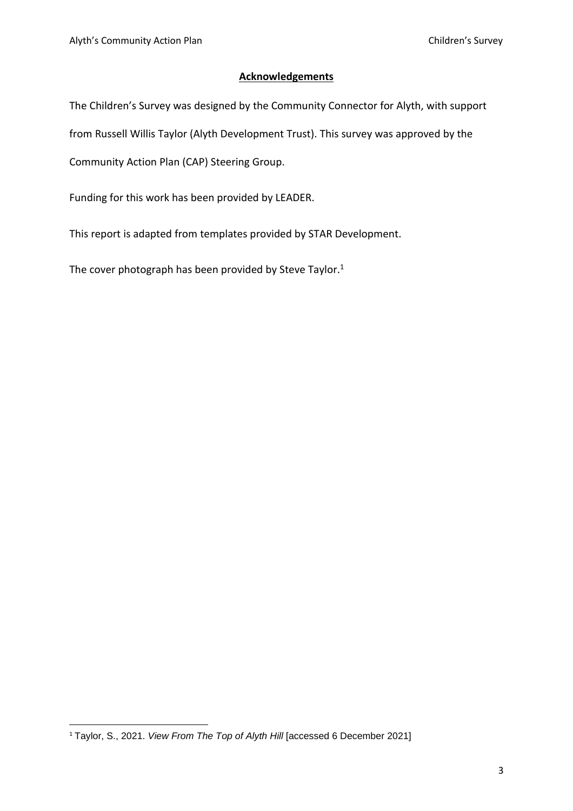## **Acknowledgements**

The Children's Survey was designed by the Community Connector for Alyth, with support

from Russell Willis Taylor (Alyth Development Trust). This survey was approved by the

Community Action Plan (CAP) Steering Group.

Funding for this work has been provided by LEADER.

This report is adapted from templates provided by STAR Development.

The cover photograph has been provided by Steve Taylor.<sup>1</sup>

<sup>1</sup> Taylor, S., 2021. *View From The Top of Alyth Hill* [accessed 6 December 2021]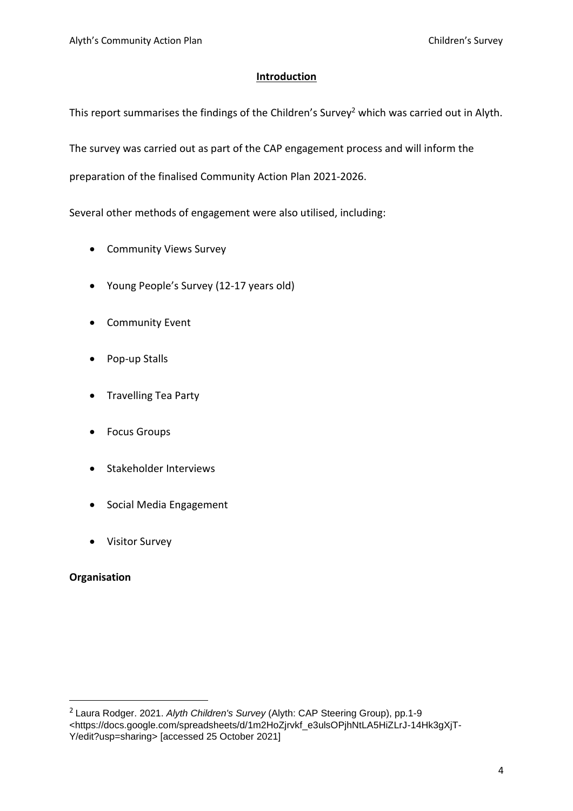## **Introduction**

This report summarises the findings of the Children's Survey<sup>2</sup> which was carried out in Alyth.

The survey was carried out as part of the CAP engagement process and will inform the

preparation of the finalised Community Action Plan 2021-2026.

Several other methods of engagement were also utilised, including:

- Community Views Survey
- Young People's Survey (12-17 years old)
- Community Event
- Pop-up Stalls
- Travelling Tea Party
- Focus Groups
- Stakeholder Interviews
- Social Media Engagement
- Visitor Survey

## **Organisation**

<sup>2</sup> Laura Rodger. 2021. *Alyth Children's Survey* (Alyth: CAP Steering Group), pp.1-9 <https://docs.google.com/spreadsheets/d/1m2HoZjrvkf\_e3ulsOPjhNtLA5HiZLrJ-14Hk3gXjT-Y/edit?usp=sharing> [accessed 25 October 2021]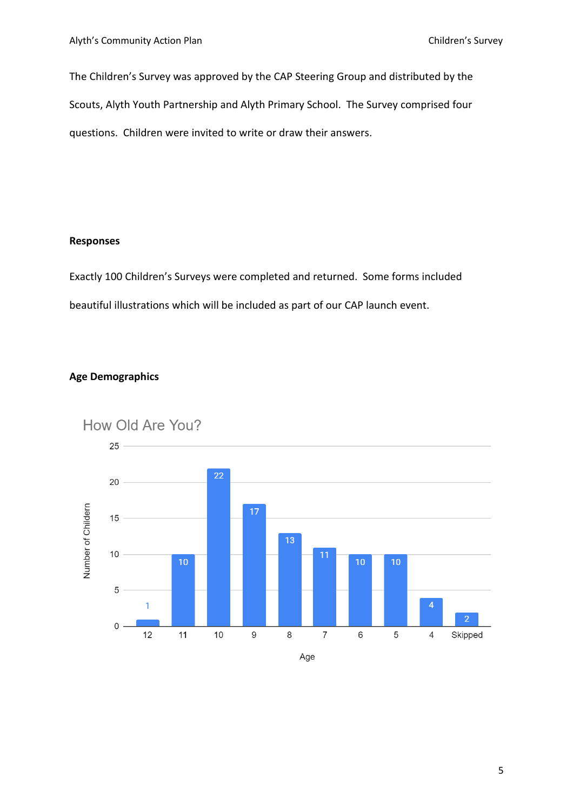The Children's Survey was approved by the CAP Steering Group and distributed by the Scouts, Alyth Youth Partnership and Alyth Primary School. The Survey comprised four questions. Children were invited to write or draw their answers.

## **Responses**

Exactly 100 Children's Surveys were completed and returned. Some forms included beautiful illustrations which will be included as part of our CAP launch event.

# **Age Demographics**

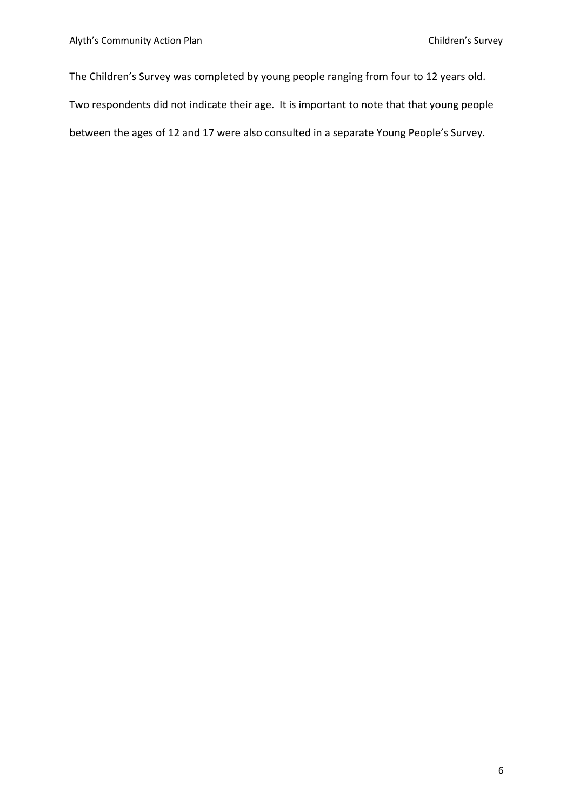The Children's Survey was completed by young people ranging from four to 12 years old. Two respondents did not indicate their age. It is important to note that that young people between the ages of 12 and 17 were also consulted in a separate Young People's Survey.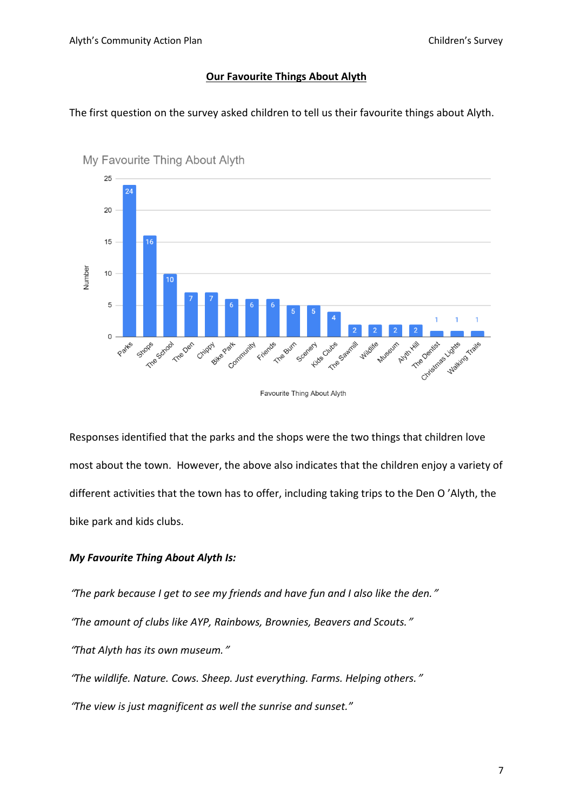#### **Our Favourite Things About Alyth**

The first question on the survey asked children to tell us their favourite things about Alyth.



My Favourite Thing About Alyth

Favourite Thing About Alyth

Responses identified that the parks and the shops were the two things that children love most about the town. However, the above also indicates that the children enjoy a variety of different activities that the town has to offer, including taking trips to the Den O 'Alyth, the bike park and kids clubs.

## *My Favourite Thing About Alyth Is:*

"*The park because I get to see my friends and have fun and I also like the den.*"

"*The amount of clubs like AYP, Rainbows, Brownies, Beavers and Scouts.*"

"*That Alyth has its own museum.*"

"*The wildlife. Nature. Cows. Sheep. Just everything. Farms. Helping others.*"

"*The view is just magnificent as well the sunrise and sunset."*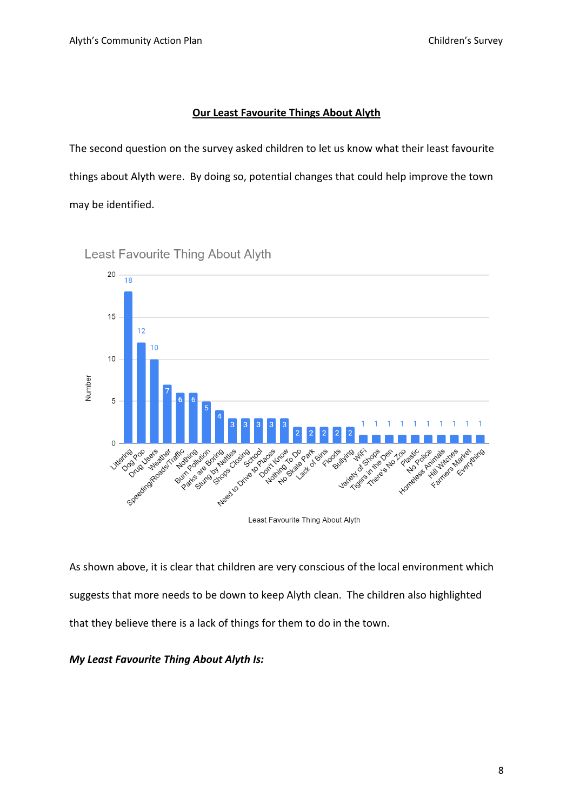## **Our Least Favourite Things About Alyth**

The second question on the survey asked children to let us know what their least favourite things about Alyth were. By doing so, potential changes that could help improve the town may be identified.



Least Favourite Thing About Alyth

As shown above, it is clear that children are very conscious of the local environment which suggests that more needs to be down to keep Alyth clean. The children also highlighted that they believe there is a lack of things for them to do in the town.

## *My Least Favourite Thing About Alyth Is:*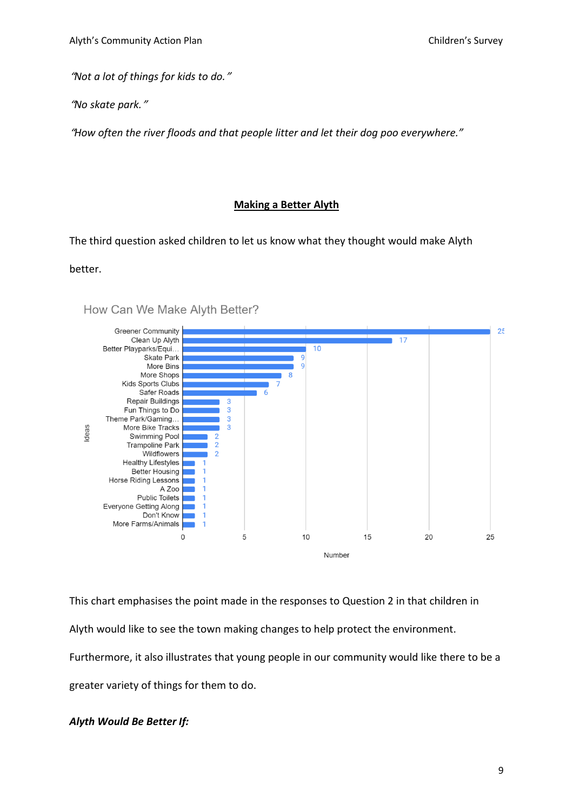"*Not a lot of things for kids to do.*"

"*No skate park.*"

"*How often the river floods and that people litter and let their dog poo everywhere."*

#### **Making a Better Alyth**

The third question asked children to let us know what they thought would make Alyth

#### better.



How Can We Make Alyth Better?

This chart emphasises the point made in the responses to Question 2 in that children in Alyth would like to see the town making changes to help protect the environment. Furthermore, it also illustrates that young people in our community would like there to be a greater variety of things for them to do.

#### *Alyth Would Be Better If:*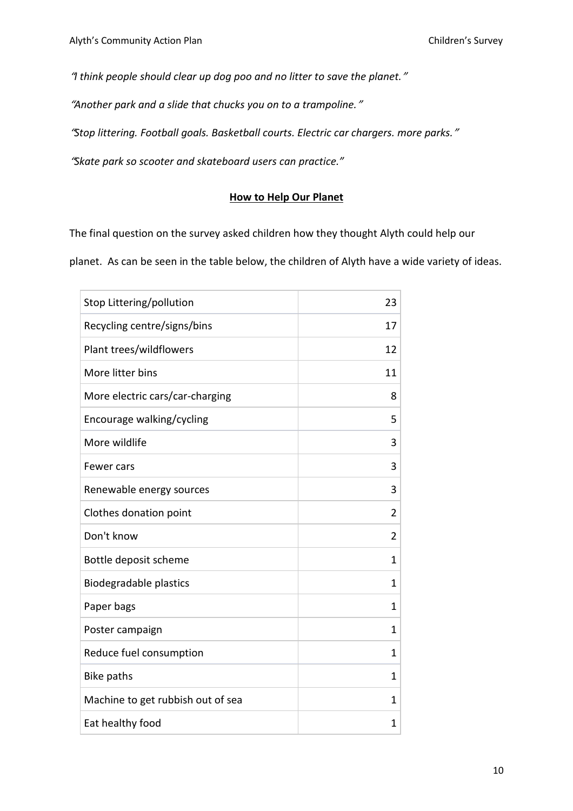"*I think people should clear up dog poo and no litter to save the planet.*"

"*Another park and a slide that chucks you on to a trampoline.*"

"*Stop littering. Football goals. Basketball courts. Electric car chargers. more parks.*"

"*Skate park so scooter and skateboard users can practice."*

### **How to Help Our Planet**

The final question on the survey asked children how they thought Alyth could help our

planet. As can be seen in the table below, the children of Alyth have a wide variety of ideas.

| Stop Littering/pollution          | 23             |
|-----------------------------------|----------------|
| Recycling centre/signs/bins       | 17             |
| Plant trees/wildflowers           | 12             |
| More litter bins                  | 11             |
| More electric cars/car-charging   | 8              |
| Encourage walking/cycling         | 5              |
| More wildlife                     | 3              |
| Fewer cars                        | 3              |
| Renewable energy sources          | 3              |
| Clothes donation point            | 2              |
| Don't know                        | $\overline{2}$ |
| Bottle deposit scheme             | 1              |
| <b>Biodegradable plastics</b>     | 1              |
| Paper bags                        | 1              |
| Poster campaign                   | $\mathbf{1}$   |
| Reduce fuel consumption           | 1              |
| <b>Bike paths</b>                 | 1              |
| Machine to get rubbish out of sea | $\mathbf{1}$   |
| Eat healthy food                  | 1              |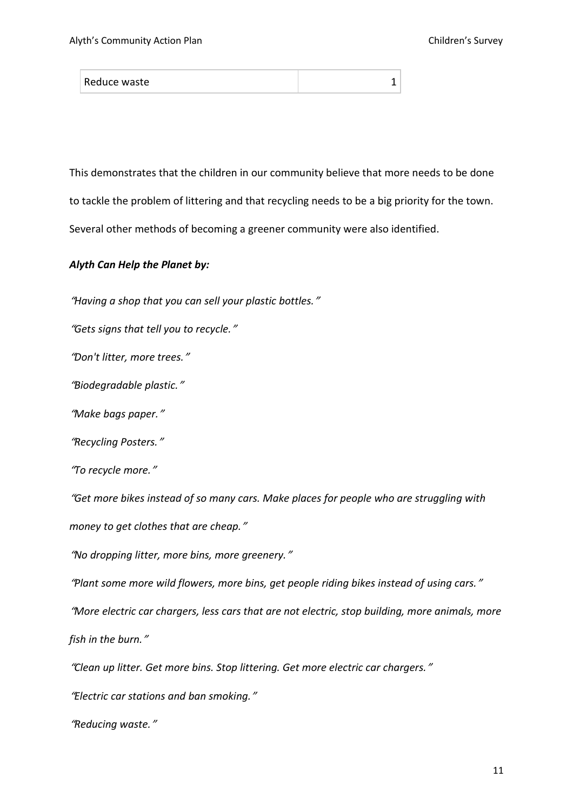| Reduce waste |  |
|--------------|--|
|--------------|--|

This demonstrates that the children in our community believe that more needs to be done to tackle the problem of littering and that recycling needs to be a big priority for the town. Several other methods of becoming a greener community were also identified.

#### *Alyth Can Help the Planet by:*

"*Having a shop that you can sell your plastic bottles.*"

"*Gets signs that tell you to recycle.*"

"*Don't litter, more trees.*"

"*Biodegradable plastic.*"

"*Make bags paper.*"

"*Recycling Posters.*"

"*To recycle more.*"

"*Get more bikes instead of so many cars. Make places for people who are struggling with money to get clothes that are cheap.*"

"*No dropping litter, more bins, more greenery.*"

"*Plant some more wild flowers, more bins, get people riding bikes instead of using cars.*"

"*More electric car chargers, less cars that are not electric, stop building, more animals, more*

*fish in the burn.*"

"*Clean up litter. Get more bins. Stop littering. Get more electric car chargers.*"

"*Electric car stations and ban smoking.*"

"*Reducing waste.*"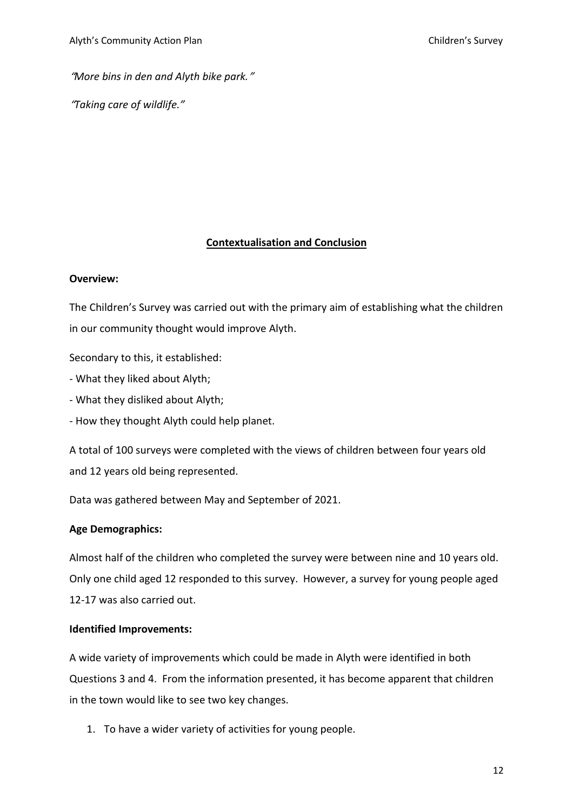"*More bins in den and Alyth bike park.*"

"*Taking care of wildlife."*

## **Contextualisation and Conclusion**

#### **Overview:**

The Children's Survey was carried out with the primary aim of establishing what the children in our community thought would improve Alyth.

Secondary to this, it established:

- What they liked about Alyth;
- What they disliked about Alyth;
- How they thought Alyth could help planet.

A total of 100 surveys were completed with the views of children between four years old and 12 years old being represented.

Data was gathered between May and September of 2021.

## **Age Demographics:**

Almost half of the children who completed the survey were between nine and 10 years old. Only one child aged 12 responded to this survey. However, a survey for young people aged 12-17 was also carried out.

#### **Identified Improvements:**

A wide variety of improvements which could be made in Alyth were identified in both Questions 3 and 4. From the information presented, it has become apparent that children in the town would like to see two key changes.

1. To have a wider variety of activities for young people.